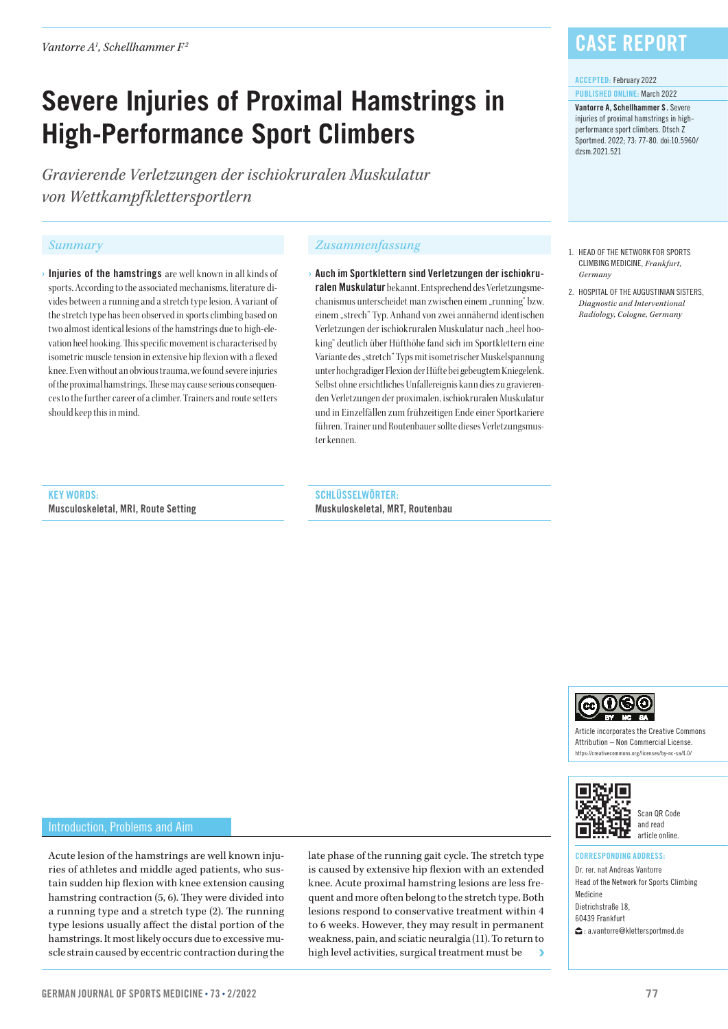*Vantorre A1 , Schellhammer F2*

# **Severe Injuries of Proximal Hamstrings in High-Performance Sport Climbers**

*Gravierende Verletzungen der ischiokruralen Muskulatur von Wettkampfklettersportlern*

 $\rightarrow$  Injuries of the hamstrings are well known in all kinds of sports. According to the associated mechanisms, literature divides between a running and a stretch type lesion. A variant of the stretch type has been observed in sports climbing based on two almost identical lesions of the hamstrings due to high-elevation heel hooking. This specific movement is characterised by isometric muscle tension in extensive hip flexion with a flexed knee. Even without an obvious trauma, we found severe injuries of the proximal hamstrings. These may cause serious consequences to the further career of a climber. Trainers and route setters should keep this in mind.

#### *Summary Zusammenfassung*

› Auch im Sportklettern sind Verletzungen der ischiokruralen Muskulatur bekannt. Entsprechend des Verletzungsmechanismus unterscheidet man zwischen einem "running" bzw. einem "strech" Typ. Anhand von zwei annähernd identischen Verletzungen der ischiokruralen Muskulatur nach "heel hooking" deutlich über Hüfthöhe fand sich im Sportklettern eine Variante des "stretch" Typs mit isometrischer Muskelspannung unter hochgradiger Flexion der Hüfte bei gebeugtem Kniegelenk. Selbst ohne ersichtliches Unfallereignis kann dies zu gravierenden Verletzungen der proximalen, ischiokruralen Muskulatur und in Einzelfällen zum frühzeitigen Ende einer Sportkariere führen. Trainer und Routenbauer sollte dieses Verletzungsmuster kennen.

### KEY WORDS:

Musculoskeletal, MRI, Route Setting

SCHLÜSSELWÖRTER: Muskuloskeletal, MRT, Routenbau

### Case Report

#### ACCEPTED: February 2022

PUBLISHED ONLINE: March 2022 Vantorre A, Schellhammer S . Severe injuries of proximal hamstrings in highperformance sport climbers. Dtsch Z Sportmed. 2022; 73: 77-80. doi:10.5960/ dzsm.2021.521

- 1. HEAD OF THE NETWORK FOR SPORTS CLIMBING MEDICINE, *Frankfurt, Germany*
- 2. HOSPITAL OF THE AUGUSTINIAN SISTERS, *Diagnostic and Interventional Radiology, Cologne, Germany*

 $0< 0$ Article incorporates the Creative Commons

Attribution – Non Commercial License. https://creativecommons.org/licenses/by-nc-sa/4.0/



Scan QR Code and read article online.

#### CORRESPONDING ADDRESS:

Dr. rer. nat Andreas Vantorre Head of the Network for Sports Climbing Medicine Dietrichstraße 18, 60439 Frankfurt : a.vantorre@klettersportmed.de

#### Introduction, Problems and Aim

Acute lesion of the hamstrings are well known injuries of athletes and middle aged patients, who sustain sudden hip flexion with knee extension causing hamstring contraction (5, 6). They were divided into a running type and a stretch type (2). The running type lesions usually affect the distal portion of the hamstrings. It most likely occurs due to excessive muscle strain caused by eccentric contraction during the

late phase of the running gait cycle. The stretch type is caused by extensive hip flexion with an extended knee. Acute proximal hamstring lesions are less frequent and more often belong to the stretch type. Both lesions respond to conservative treatment within 4 to 6 weeks. However, they may result in permanent weakness, pain, and sciatic neuralgia (11). To return to high level activities, surgical treatment must be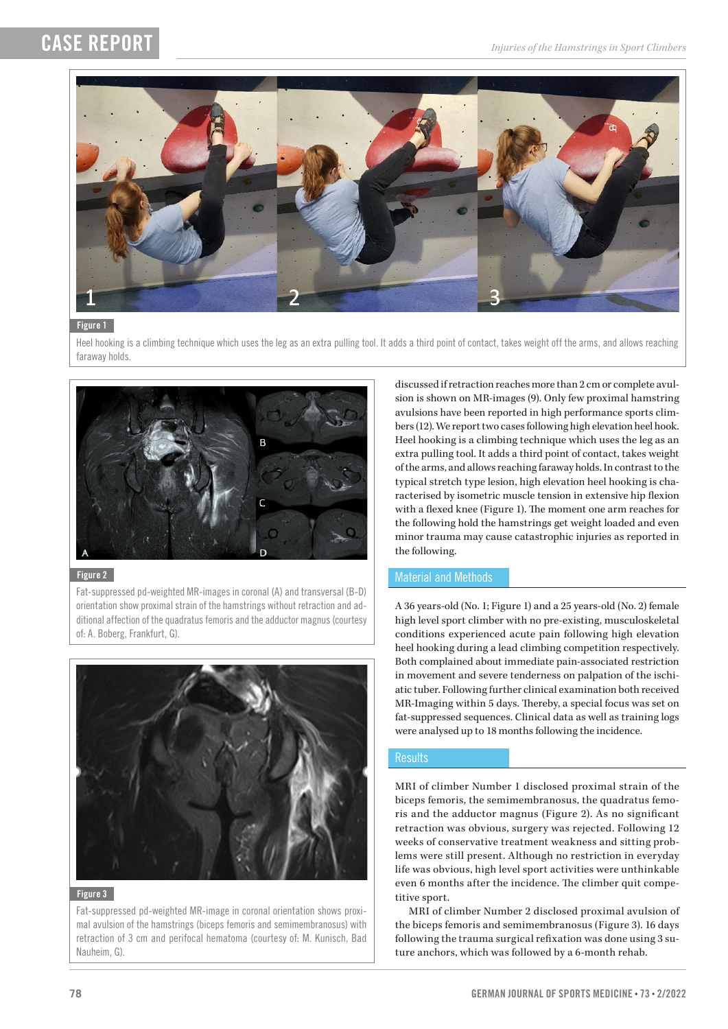## CASE REPORT



#### Figure 1

Heel hooking is a climbing technique which uses the leg as an extra pulling tool. It adds a third point of contact, takes weight off the arms, and allows reaching faraway holds.



#### Figure 2

Fat-suppressed pd-weighted MR-images in coronal (A) and transversal (B-D) orientation show proximal strain of the hamstrings without retraction and additional affection of the quadratus femoris and the adductor magnus (courtesy of: A. Boberg, Frankfurt, G).



#### Figure 3

Fat-suppressed pd-weighted MR-image in coronal orientation shows proximal avulsion of the hamstrings (biceps femoris and semimembranosus) with retraction of 3 cm and perifocal hematoma (courtesy of: M. Kunisch, Bad Nauheim, G).

discussed if retraction reaches more than 2 cm or complete avulsion is shown on MR-images (9). Only few proximal hamstring avulsions have been reported in high performance sports climbers (12). We report two cases following high elevation heel hook. Heel hooking is a climbing technique which uses the leg as an extra pulling tool. It adds a third point of contact, takes weight of the arms, and allows reaching faraway holds. In contrast to the typical stretch type lesion, high elevation heel hooking is characterised by isometric muscle tension in extensive hip flexion with a flexed knee (Figure 1). The moment one arm reaches for the following hold the hamstrings get weight loaded and even minor trauma may cause catastrophic injuries as reported in the following.

### Material and Methods

A 36 years-old (No. 1; Figure 1) and a 25 years-old (No. 2) female high level sport climber with no pre-existing, musculoskeletal conditions experienced acute pain following high elevation heel hooking during a lead climbing competition respectively. Both complained about immediate pain-associated restriction in movement and severe tenderness on palpation of the ischiatic tuber. Following further clinical examination both received MR-Imaging within 5 days. Thereby, a special focus was set on fat-suppressed sequences. Clinical data as well as training logs were analysed up to 18 months following the incidence.

#### **Results**

MRI of climber Number 1 disclosed proximal strain of the biceps femoris, the semimembranosus, the quadratus femoris and the adductor magnus (Figure 2). As no significant retraction was obvious, surgery was rejected. Following 12 weeks of conservative treatment weakness and sitting problems were still present. Although no restriction in everyday life was obvious, high level sport activities were unthinkable even 6 months after the incidence. The climber quit competitive sport.

MRI of climber Number 2 disclosed proximal avulsion of the biceps femoris and semimembranosus (Figure 3). 16 days following the trauma surgical refixation was done using 3 suture anchors, which was followed by a 6-month rehab.